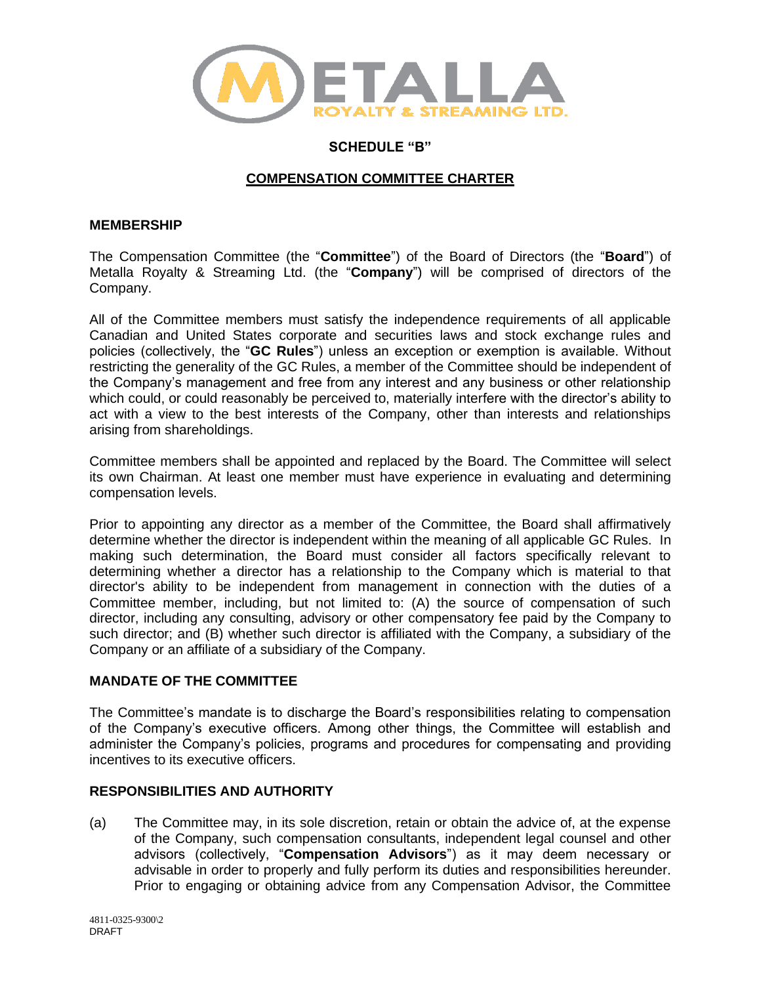

# **SCHEDULE "B"**

## **COMPENSATION COMMITTEE CHARTER**

### **MEMBERSHIP**

The Compensation Committee (the "**Committee**") of the Board of Directors (the "**Board**") of Metalla Royalty & Streaming Ltd. (the "**Company**") will be comprised of directors of the Company.

All of the Committee members must satisfy the independence requirements of all applicable Canadian and United States corporate and securities laws and stock exchange rules and policies (collectively, the "**GC Rules**") unless an exception or exemption is available. Without restricting the generality of the GC Rules, a member of the Committee should be independent of the Company's management and free from any interest and any business or other relationship which could, or could reasonably be perceived to, materially interfere with the director's ability to act with a view to the best interests of the Company, other than interests and relationships arising from shareholdings.

Committee members shall be appointed and replaced by the Board. The Committee will select its own Chairman. At least one member must have experience in evaluating and determining compensation levels.

Prior to appointing any director as a member of the Committee, the Board shall affirmatively determine whether the director is independent within the meaning of all applicable GC Rules. In making such determination, the Board must consider all factors specifically relevant to determining whether a director has a relationship to the Company which is material to that director's ability to be independent from management in connection with the duties of a Committee member, including, but not limited to: (A) the source of compensation of such director, including any consulting, advisory or other compensatory fee paid by the Company to such director; and (B) whether such director is affiliated with the Company, a subsidiary of the Company or an affiliate of a subsidiary of the Company.

### **MANDATE OF THE COMMITTEE**

The Committee's mandate is to discharge the Board's responsibilities relating to compensation of the Company's executive officers. Among other things, the Committee will establish and administer the Company's policies, programs and procedures for compensating and providing incentives to its executive officers.

# **RESPONSIBILITIES AND AUTHORITY**

(a) The Committee may, in its sole discretion, retain or obtain the advice of, at the expense of the Company, such compensation consultants, independent legal counsel and other advisors (collectively, "**Compensation Advisors**") as it may deem necessary or advisable in order to properly and fully perform its duties and responsibilities hereunder. Prior to engaging or obtaining advice from any Compensation Advisor, the Committee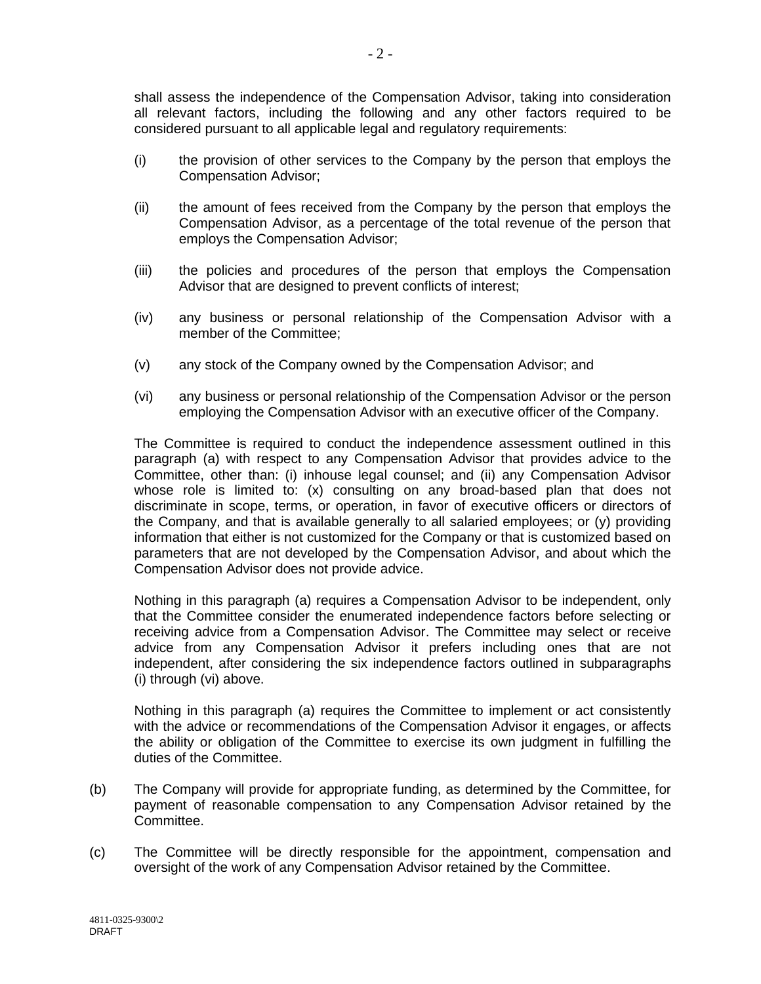shall assess the independence of the Compensation Advisor, taking into consideration all relevant factors, including the following and any other factors required to be considered pursuant to all applicable legal and regulatory requirements:

- (i) the provision of other services to the Company by the person that employs the Compensation Advisor;
- (ii) the amount of fees received from the Company by the person that employs the Compensation Advisor, as a percentage of the total revenue of the person that employs the Compensation Advisor;
- (iii) the policies and procedures of the person that employs the Compensation Advisor that are designed to prevent conflicts of interest;
- (iv) any business or personal relationship of the Compensation Advisor with a member of the Committee;
- (v) any stock of the Company owned by the Compensation Advisor; and
- (vi) any business or personal relationship of the Compensation Advisor or the person employing the Compensation Advisor with an executive officer of the Company.

The Committee is required to conduct the independence assessment outlined in this paragraph (a) with respect to any Compensation Advisor that provides advice to the Committee, other than: (i) inhouse legal counsel; and (ii) any Compensation Advisor whose role is limited to: (x) consulting on any broad-based plan that does not discriminate in scope, terms, or operation, in favor of executive officers or directors of the Company, and that is available generally to all salaried employees; or (y) providing information that either is not customized for the Company or that is customized based on parameters that are not developed by the Compensation Advisor, and about which the Compensation Advisor does not provide advice.

Nothing in this paragraph (a) requires a Compensation Advisor to be independent, only that the Committee consider the enumerated independence factors before selecting or receiving advice from a Compensation Advisor. The Committee may select or receive advice from any Compensation Advisor it prefers including ones that are not independent, after considering the six independence factors outlined in subparagraphs (i) through (vi) above.

Nothing in this paragraph (a) requires the Committee to implement or act consistently with the advice or recommendations of the Compensation Advisor it engages, or affects the ability or obligation of the Committee to exercise its own judgment in fulfilling the duties of the Committee.

- (b) The Company will provide for appropriate funding, as determined by the Committee, for payment of reasonable compensation to any Compensation Advisor retained by the Committee.
- (c) The Committee will be directly responsible for the appointment, compensation and oversight of the work of any Compensation Advisor retained by the Committee.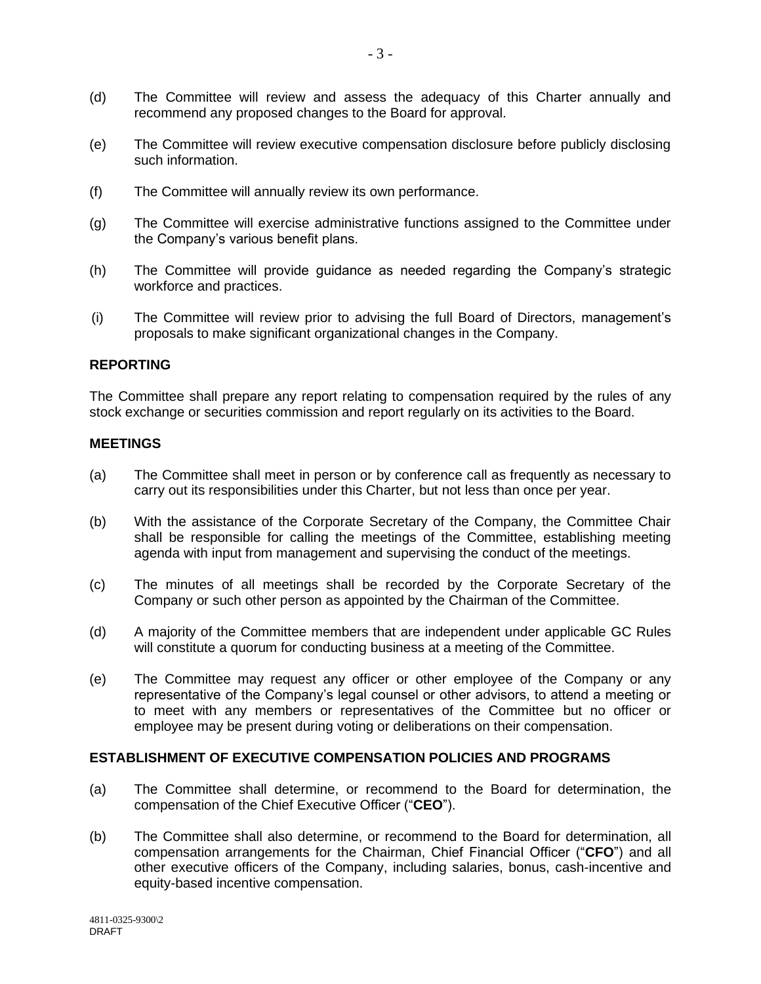- (d) The Committee will review and assess the adequacy of this Charter annually and recommend any proposed changes to the Board for approval.
- (e) The Committee will review executive compensation disclosure before publicly disclosing such information.
- (f) The Committee will annually review its own performance.
- (g) The Committee will exercise administrative functions assigned to the Committee under the Company's various benefit plans.
- (h) The Committee will provide guidance as needed regarding the Company's strategic workforce and practices.
- (i) The Committee will review prior to advising the full Board of Directors, management's proposals to make significant organizational changes in the Company.

#### **REPORTING**

The Committee shall prepare any report relating to compensation required by the rules of any stock exchange or securities commission and report regularly on its activities to the Board.

#### **MEETINGS**

- (a) The Committee shall meet in person or by conference call as frequently as necessary to carry out its responsibilities under this Charter, but not less than once per year.
- (b) With the assistance of the Corporate Secretary of the Company, the Committee Chair shall be responsible for calling the meetings of the Committee, establishing meeting agenda with input from management and supervising the conduct of the meetings.
- (c) The minutes of all meetings shall be recorded by the Corporate Secretary of the Company or such other person as appointed by the Chairman of the Committee.
- (d) A majority of the Committee members that are independent under applicable GC Rules will constitute a quorum for conducting business at a meeting of the Committee.
- (e) The Committee may request any officer or other employee of the Company or any representative of the Company's legal counsel or other advisors, to attend a meeting or to meet with any members or representatives of the Committee but no officer or employee may be present during voting or deliberations on their compensation.

#### **ESTABLISHMENT OF EXECUTIVE COMPENSATION POLICIES AND PROGRAMS**

- (a) The Committee shall determine, or recommend to the Board for determination, the compensation of the Chief Executive Officer ("**CEO**").
- (b) The Committee shall also determine, or recommend to the Board for determination, all compensation arrangements for the Chairman, Chief Financial Officer ("**CFO**") and all other executive officers of the Company, including salaries, bonus, cash-incentive and equity-based incentive compensation.